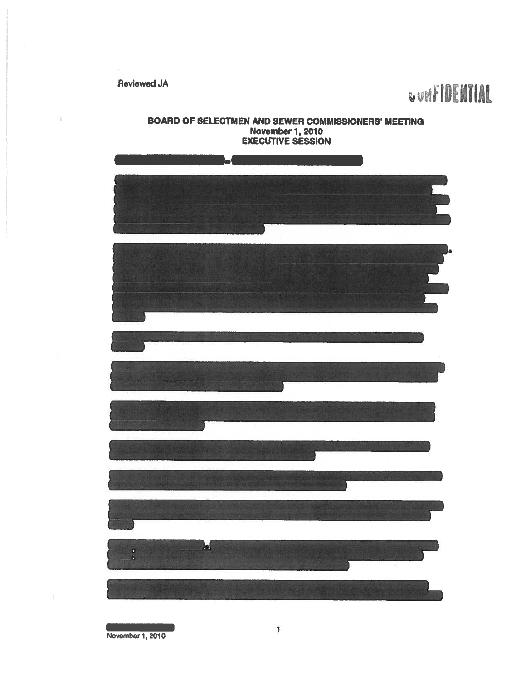Q.

## Reviewed JA<br>
U IV **III ENTIAL**



November 1, 2010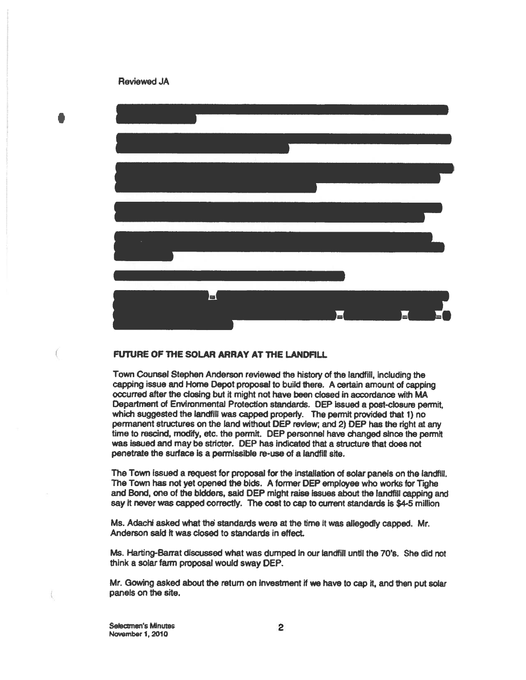## Reviewed JA



## FUTURE OF THE SOLAR ARRAY AT THE LANDFILL

Town Counsel Stephen Anderson reviewed the history of the landfill, including the capping issue and Home Depot proposa<sup>l</sup> to build there. <sup>A</sup> certain amount of capping occurred after the closing but it might not have been closed in accordance with MA Department of Environmental Protection standards. DEP issued <sup>a</sup> post-closure permit, which suggested the landfill was capped properly. The permit provided that 1) no permanen<sup>t</sup> structures on the land without DEP review; and 2) OEP has the right at any time to rescind, modify, etc. the permit. DEP personnel have changed since the permit was issued and may be stricter. DEP has indicated that <sup>a</sup> structure that does not penetrate the surface is <sup>a</sup> permissible re-use of <sup>a</sup> landfill site.

The Town issued <sup>a</sup> reques<sup>t</sup> for proposal for the installation of solar panels on the landfill. The Town has not ye<sup>t</sup> opened the bids. <sup>A</sup> former DEP employee who works for Tighe and Bond, one of the bidders, said DEP might raise Issues about the landfill capping and say it never was capped correctly. The cost to cap to current standards is \$4-5 million

Ms. Adachi asked what the standards were at the time it was allegedly capped. Mr. Anderson said It was closed to standards in effect.

Ms. Harting-Barrat discussed what was dumped In our landfill until the 70's. She did not think <sup>a</sup> solar farm proposal would sway DEP.

Mr. Gowing asked about the return on investment it we have to cap it, and then pu<sup>t</sup> solar panels on the site,

Selectmen's Minutes November 1, 2010